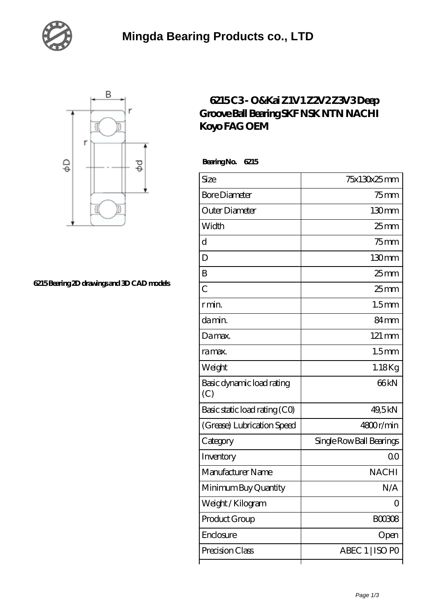



## **[6215 Bearing 2D drawings and 3D CAD models](https://xnxse.com/pic-630664.html)**

## **[6215 C3 - O&Kai Z1V1 Z2V2 Z3V3 Deep](https://xnxse.com/sell-630664-6215-c3-o-kai-z1v1-z2v2-z3v3-deep-groove-ball-bearing-skf-nsk-ntn-nachi-koyo-fag-oem.html) [Groove Ball Bearing SKF NSK NTN NACHI](https://xnxse.com/sell-630664-6215-c3-o-kai-z1v1-z2v2-z3v3-deep-groove-ball-bearing-skf-nsk-ntn-nachi-koyo-fag-oem.html) [Koyo FAG OEM](https://xnxse.com/sell-630664-6215-c3-o-kai-z1v1-z2v2-z3v3-deep-groove-ball-bearing-skf-nsk-ntn-nachi-koyo-fag-oem.html)**

 **Bearing No. 6215**

| Size                             | 75x130x25mm              |
|----------------------------------|--------------------------|
| <b>Bore Diameter</b>             | 75 mm                    |
| Outer Diameter                   | 130 <sub>mm</sub>        |
| Width                            | $25$ <sub>mm</sub>       |
| d                                | $75$ mm                  |
| D                                | 130mm                    |
| Β                                | $25$ mm                  |
| $\overline{C}$                   | 25 <sub>mm</sub>         |
| r min.                           | 1.5 <sub>mm</sub>        |
| da min.                          | 84 <sub>mm</sub>         |
| Damax.                           | $121 \,\mathrm{mm}$      |
| ra max.                          | 1.5 <sub>mm</sub>        |
| Weight                           | 1.18Kg                   |
| Basic dynamic load rating<br>(C) | 66 <sub>kN</sub>         |
| Basic static load rating (CO)    | 49,5kN                   |
| (Grease) Lubrication Speed       | 4800r/min                |
| Category                         | Single Row Ball Bearings |
| Inventory                        | Q0                       |
| Manufacturer Name                | <b>NACHI</b>             |
| Minimum Buy Quantity             | N/A                      |
| Weight / Kilogram                | 0                        |
| Product Group                    | BOO3O8                   |
| Enclosure                        | Open                     |
| Precision Class                  | ABEC 1   ISO PO          |
|                                  |                          |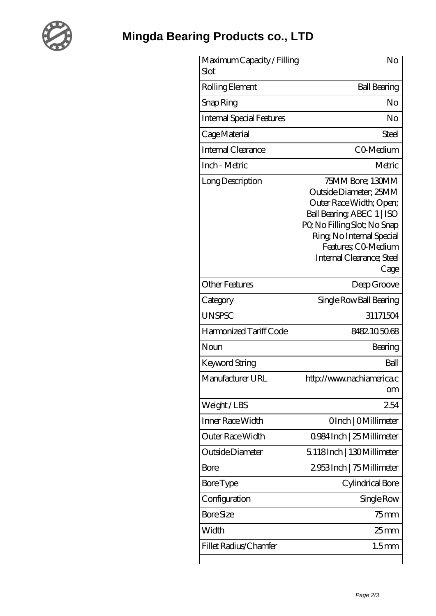

## **[Mingda Bearing Products co., LTD](https://xnxse.com)**

| Maximum Capacity / Filling<br>Slot | No                                                                                                                                                                                                                         |
|------------------------------------|----------------------------------------------------------------------------------------------------------------------------------------------------------------------------------------------------------------------------|
| Rolling Element                    | <b>Ball Bearing</b>                                                                                                                                                                                                        |
| Snap Ring                          | No                                                                                                                                                                                                                         |
| <b>Internal Special Features</b>   | No                                                                                                                                                                                                                         |
| Cage Material                      | Steel                                                                                                                                                                                                                      |
| Internal Clearance                 | CO-Medium                                                                                                                                                                                                                  |
| Inch - Metric                      | Metric                                                                                                                                                                                                                     |
| Long Description                   | 75MM Bore; 130MM<br>Outside Diameter; 25MM<br>Outer Race Width; Open;<br>Ball Bearing ABEC 1   ISO<br>PQ No Filling Slot; No Snap<br>Ring, No Internal Special<br>Features; CO-Medium<br>Internal Clearance; Steel<br>Cage |
| <b>Other Features</b>              | Deep Groove                                                                                                                                                                                                                |
| Category                           | Single Row Ball Bearing                                                                                                                                                                                                    |
| <b>UNSPSC</b>                      | 31171504                                                                                                                                                                                                                   |
| Harmonized Tariff Code             | 8482.105068                                                                                                                                                                                                                |
| Noun                               | Bearing                                                                                                                                                                                                                    |
| Keyword String                     | Ball                                                                                                                                                                                                                       |
| Manufacturer URL                   | http://www.nachiamerica.c<br>om                                                                                                                                                                                            |
| Weight/LBS                         | 254                                                                                                                                                                                                                        |
| <b>Inner Race Width</b>            | OInch   OMillimeter                                                                                                                                                                                                        |
| <b>Outer Race Width</b>            | 0984 Inch   25 Millimeter                                                                                                                                                                                                  |
| Outside Diameter                   | 5.118Inch   130Millimeter                                                                                                                                                                                                  |
| Bore                               | 2953Inch   75 Millimeter                                                                                                                                                                                                   |
| <b>Bore Type</b>                   | Cylindrical Bore                                                                                                                                                                                                           |
| Configuration                      | Single Row                                                                                                                                                                                                                 |
| <b>Bore Size</b>                   | $75$ mm                                                                                                                                                                                                                    |
| Width                              | 25 <sub>mm</sub>                                                                                                                                                                                                           |
| Fillet Radius/Chamfer              | 1.5 <sub>mm</sub>                                                                                                                                                                                                          |